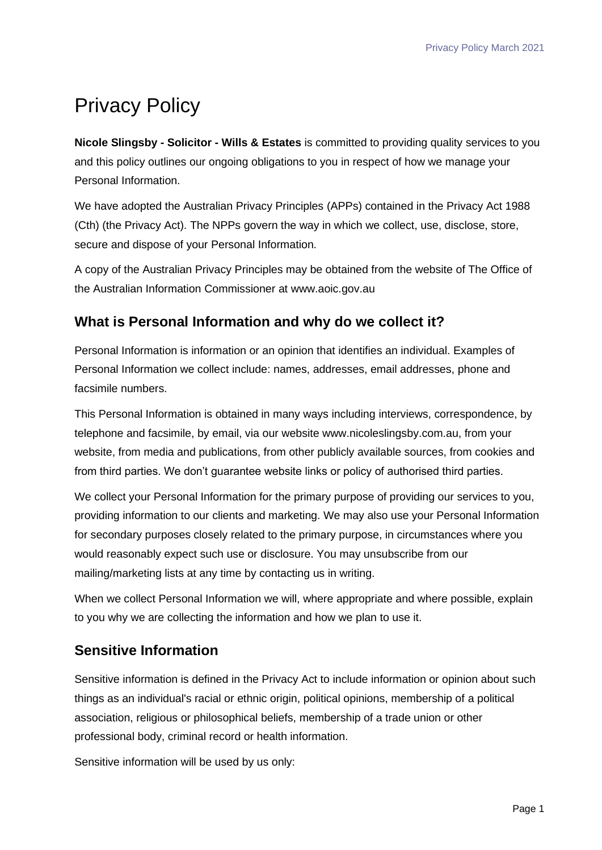# Privacy Policy

**Nicole Slingsby - Solicitor - Wills & Estates** is committed to providing quality services to you and this policy outlines our ongoing obligations to you in respect of how we manage your Personal Information.

We have adopted the Australian Privacy Principles (APPs) contained in the Privacy Act 1988 (Cth) (the Privacy Act). The NPPs govern the way in which we collect, use, disclose, store, secure and dispose of your Personal Information.

A copy of the Australian Privacy Principles may be obtained from the website of The Office of the Australian Information Commissioner at www.aoic.gov.au

# **What is Personal Information and why do we collect it?**

Personal Information is information or an opinion that identifies an individual. Examples of Personal Information we collect include: names, addresses, email addresses, phone and facsimile numbers.

This Personal Information is obtained in many ways including interviews, correspondence, by telephone and facsimile, by email, via our website www.nicoleslingsby.com.au, from your website, from media and publications, from other publicly available sources, from cookies and from third parties. We don't guarantee website links or policy of authorised third parties.

We collect your Personal Information for the primary purpose of providing our services to you, providing information to our clients and marketing. We may also use your Personal Information for secondary purposes closely related to the primary purpose, in circumstances where you would reasonably expect such use or disclosure. You may unsubscribe from our mailing/marketing lists at any time by contacting us in writing.

When we collect Personal Information we will, where appropriate and where possible, explain to you why we are collecting the information and how we plan to use it.

# **Sensitive Information**

Sensitive information is defined in the Privacy Act to include information or opinion about such things as an individual's racial or ethnic origin, political opinions, membership of a political association, religious or philosophical beliefs, membership of a trade union or other professional body, criminal record or health information.

Sensitive information will be used by us only: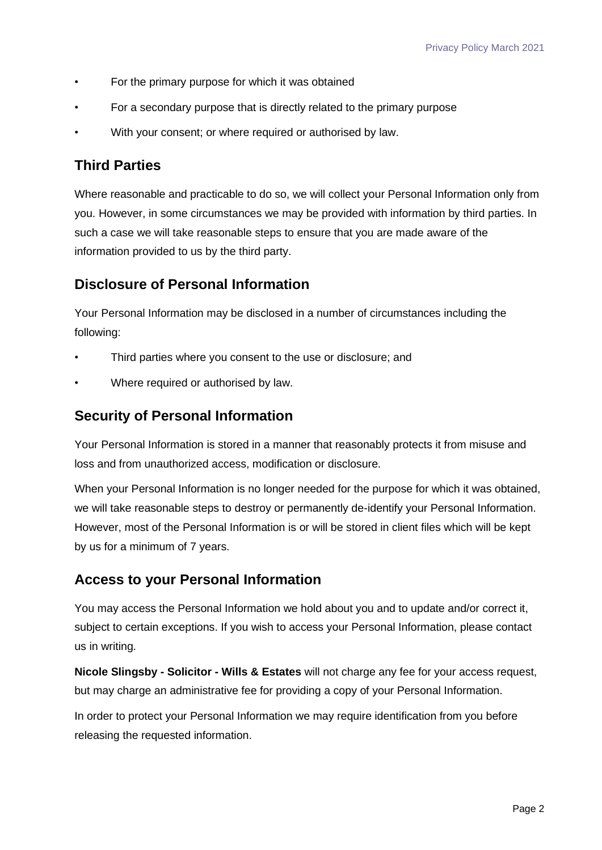- For the primary purpose for which it was obtained
- For a secondary purpose that is directly related to the primary purpose
- With your consent; or where required or authorised by law.

## **Third Parties**

Where reasonable and practicable to do so, we will collect your Personal Information only from you. However, in some circumstances we may be provided with information by third parties. In such a case we will take reasonable steps to ensure that you are made aware of the information provided to us by the third party.

## **Disclosure of Personal Information**

Your Personal Information may be disclosed in a number of circumstances including the following:

- Third parties where you consent to the use or disclosure; and
- Where required or authorised by law.

#### **Security of Personal Information**

Your Personal Information is stored in a manner that reasonably protects it from misuse and loss and from unauthorized access, modification or disclosure.

When your Personal Information is no longer needed for the purpose for which it was obtained, we will take reasonable steps to destroy or permanently de-identify your Personal Information. However, most of the Personal Information is or will be stored in client files which will be kept by us for a minimum of 7 years.

## **Access to your Personal Information**

You may access the Personal Information we hold about you and to update and/or correct it, subject to certain exceptions. If you wish to access your Personal Information, please contact us in writing.

**Nicole Slingsby - Solicitor - Wills & Estates** will not charge any fee for your access request, but may charge an administrative fee for providing a copy of your Personal Information.

In order to protect your Personal Information we may require identification from you before releasing the requested information.